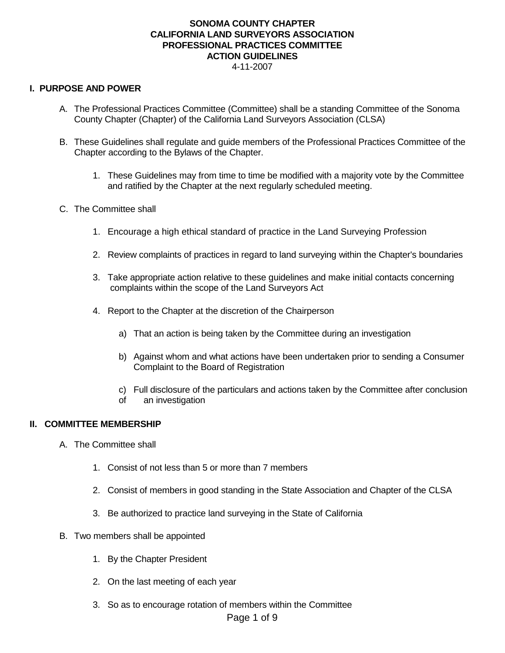#### **SONOMA COUNTY CHAPTER CALIFORNIA LAND SURVEYORS ASSOCIATION PROFESSIONAL PRACTICES COMMITTEE ACTION GUIDELINES** 4-11-2007

#### **I. PURPOSE AND POWER**

- A. The Professional Practices Committee (Committee) shall be a standing Committee of the Sonoma County Chapter (Chapter) of the California Land Surveyors Association (CLSA)
- B. These Guidelines shall regulate and guide members of the Professional Practices Committee of the Chapter according to the Bylaws of the Chapter.
	- 1. These Guidelines may from time to time be modified with a majority vote by the Committee and ratified by the Chapter at the next regularly scheduled meeting.
- C. The Committee shall
	- 1. Encourage a high ethical standard of practice in the Land Surveying Profession
	- 2. Review complaints of practices in regard to land surveying within the Chapter's boundaries
	- 3. Take appropriate action relative to these guidelines and make initial contacts concerning complaints within the scope of the Land Surveyors Act
	- 4. Report to the Chapter at the discretion of the Chairperson
		- a) That an action is being taken by the Committee during an investigation
		- b) Against whom and what actions have been undertaken prior to sending a Consumer Complaint to the Board of Registration
		- c) Full disclosure of the particulars and actions taken by the Committee after conclusion
		- of an investigation

#### **II. COMMITTEE MEMBERSHIP**

- A. The Committee shall
	- 1. Consist of not less than 5 or more than 7 members
	- 2. Consist of members in good standing in the State Association and Chapter of the CLSA
	- 3. Be authorized to practice land surveying in the State of California
- B. Two members shall be appointed
	- 1. By the Chapter President
	- 2. On the last meeting of each year
	- 3. So as to encourage rotation of members within the Committee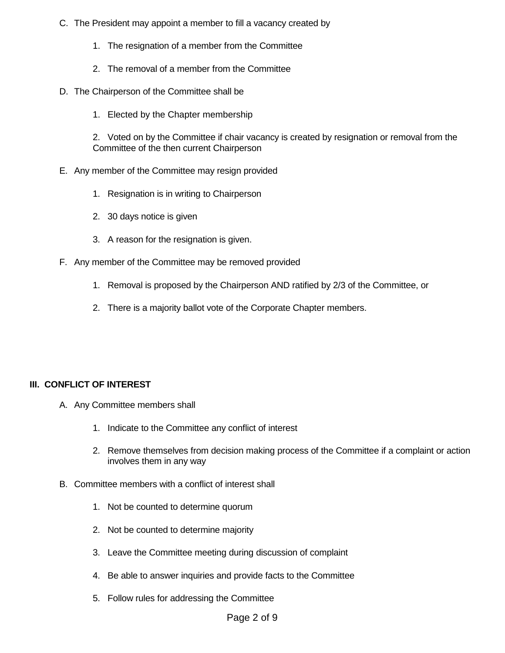- C. The President may appoint a member to fill a vacancy created by
	- 1. The resignation of a member from the Committee
	- 2. The removal of a member from the Committee
- D. The Chairperson of the Committee shall be
	- 1. Elected by the Chapter membership

2. Voted on by the Committee if chair vacancy is created by resignation or removal from the Committee of the then current Chairperson

- E. Any member of the Committee may resign provided
	- 1. Resignation is in writing to Chairperson
	- 2. 30 days notice is given
	- 3. A reason for the resignation is given.
- F. Any member of the Committee may be removed provided
	- 1. Removal is proposed by the Chairperson AND ratified by 2/3 of the Committee, or
	- 2. There is a majority ballot vote of the Corporate Chapter members.

# **III. CONFLICT OF INTEREST**

- A. Any Committee members shall
	- 1. Indicate to the Committee any conflict of interest
	- 2. Remove themselves from decision making process of the Committee if a complaint or action involves them in any way
- B. Committee members with a conflict of interest shall
	- 1. Not be counted to determine quorum
	- 2. Not be counted to determine majority
	- 3. Leave the Committee meeting during discussion of complaint
	- 4. Be able to answer inquiries and provide facts to the Committee
	- 5. Follow rules for addressing the Committee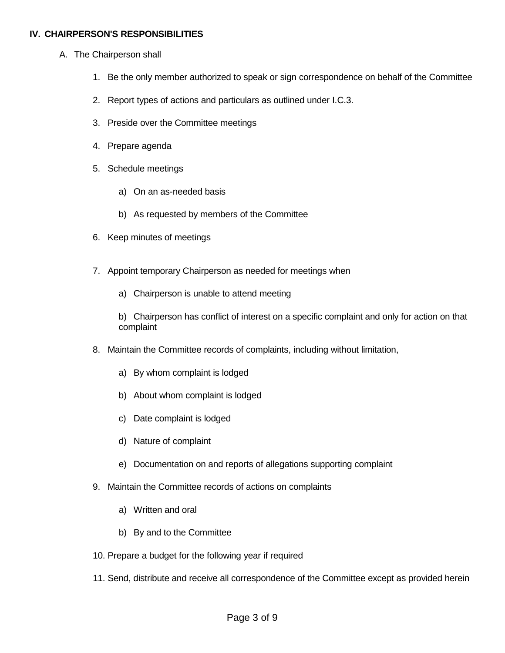## **IV. CHAIRPERSON'S RESPONSIBILITIES**

- A. The Chairperson shall
	- 1. Be the only member authorized to speak or sign correspondence on behalf of the Committee
	- 2. Report types of actions and particulars as outlined under I.C.3.
	- 3. Preside over the Committee meetings
	- 4. Prepare agenda
	- 5. Schedule meetings
		- a) On an as-needed basis
		- b) As requested by members of the Committee
	- 6. Keep minutes of meetings
	- 7. Appoint temporary Chairperson as needed for meetings when
		- a) Chairperson is unable to attend meeting

b) Chairperson has conflict of interest on a specific complaint and only for action on that complaint

- 8. Maintain the Committee records of complaints, including without limitation,
	- a) By whom complaint is lodged
	- b) About whom complaint is lodged
	- c) Date complaint is lodged
	- d) Nature of complaint
	- e) Documentation on and reports of allegations supporting complaint
- 9. Maintain the Committee records of actions on complaints
	- a) Written and oral
	- b) By and to the Committee
- 10. Prepare a budget for the following year if required
- 11. Send, distribute and receive all correspondence of the Committee except as provided herein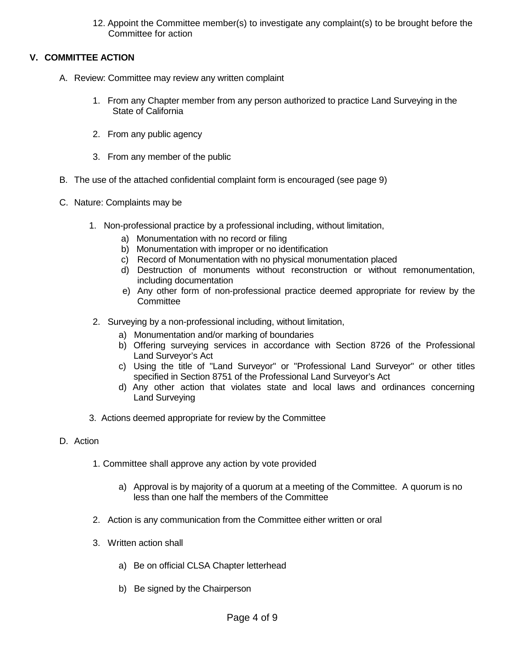12. Appoint the Committee member(s) to investigate any complaint(s) to be brought before the Committee for action

# **V. COMMITTEE ACTION**

- A. Review: Committee may review any written complaint
	- 1. From any Chapter member from any person authorized to practice Land Surveying in the State of California
	- 2. From any public agency
	- 3. From any member of the public
- B. The use of the attached confidential complaint form is encouraged (see page 9)
- C. Nature: Complaints may be
	- 1. Non-professional practice by a professional including, without limitation,
		- a) Monumentation with no record or filing
		- b) Monumentation with improper or no identification
		- c) Record of Monumentation with no physical monumentation placed
		- d) Destruction of monuments without reconstruction or without remonumentation, including documentation
		- e) Any other form of non-professional practice deemed appropriate for review by the **Committee**
	- 2. Surveying by a non-professional including, without limitation,
		- a) Monumentation and/or marking of boundaries
		- b) Offering surveying services in accordance with Section 8726 of the Professional Land Surveyor's Act
		- c) Using the title of "Land Surveyor" or "Professional Land Surveyor" or other titles specified in Section 8751 of the Professional Land Surveyor's Act
		- d) Any other action that violates state and local laws and ordinances concerning Land Surveying
	- 3. Actions deemed appropriate for review by the Committee
- D. Action
	- 1. Committee shall approve any action by vote provided
		- a) Approval is by majority of a quorum at a meeting of the Committee. A quorum is no less than one half the members of the Committee
	- 2. Action is any communication from the Committee either written or oral
	- 3. Written action shall
		- a) Be on official CLSA Chapter letterhead
		- b) Be signed by the Chairperson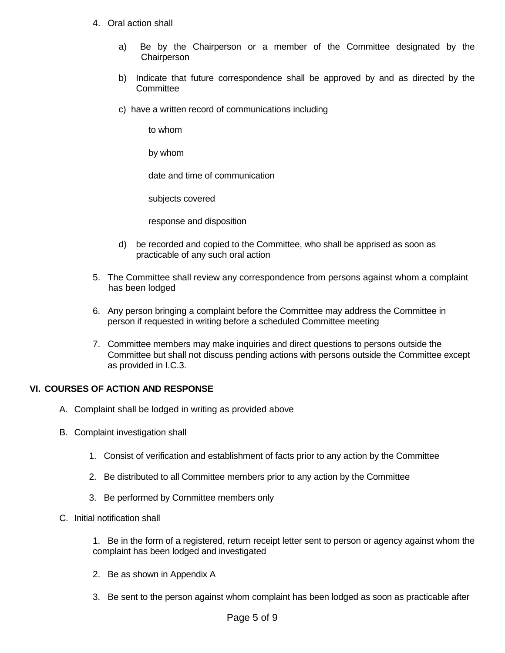- 4. Oral action shall
	- a) Be by the Chairperson or a member of the Committee designated by the **Chairperson**
	- b) Indicate that future correspondence shall be approved by and as directed by the Committee
	- c) have a written record of communications including

to whom

by whom

date and time of communication

subjects covered

response and disposition

- d) be recorded and copied to the Committee, who shall be apprised as soon as practicable of any such oral action
- 5. The Committee shall review any correspondence from persons against whom a complaint has been lodged
- 6. Any person bringing a complaint before the Committee may address the Committee in person if requested in writing before a scheduled Committee meeting
- 7. Committee members may make inquiries and direct questions to persons outside the Committee but shall not discuss pending actions with persons outside the Committee except as provided in I.C.3.

## **VI. COURSES OF ACTION AND RESPONSE**

- A. Complaint shall be lodged in writing as provided above
- B. Complaint investigation shall
	- 1. Consist of verification and establishment of facts prior to any action by the Committee
	- 2. Be distributed to all Committee members prior to any action by the Committee
	- 3. Be performed by Committee members only
- C. Initial notification shall

1. Be in the form of a registered, return receipt letter sent to person or agency against whom the complaint has been lodged and investigated

- 2. Be as shown in Appendix A
- 3. Be sent to the person against whom complaint has been lodged as soon as practicable after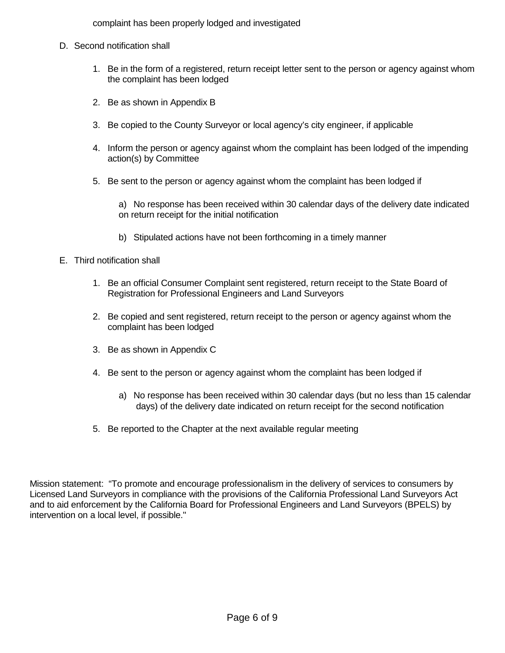complaint has been properly lodged and investigated

- D. Second notification shall
	- 1. Be in the form of a registered, return receipt letter sent to the person or agency against whom the complaint has been lodged
	- 2. Be as shown in Appendix B
	- 3. Be copied to the County Surveyor or local agency's city engineer, if applicable
	- 4. Inform the person or agency against whom the complaint has been lodged of the impending action(s) by Committee
	- 5. Be sent to the person or agency against whom the complaint has been lodged if

a) No response has been received within 30 calendar days of the delivery date indicated on return receipt for the initial notification

b) Stipulated actions have not been forthcoming in a timely manner

## E. Third notification shall

- 1. Be an official Consumer Complaint sent registered, return receipt to the State Board of Registration for Professional Engineers and Land Surveyors
- 2. Be copied and sent registered, return receipt to the person or agency against whom the complaint has been lodged
- 3. Be as shown in Appendix C
- 4. Be sent to the person or agency against whom the complaint has been lodged if
	- a) No response has been received within 30 calendar days (but no less than 15 calendar days) of the delivery date indicated on return receipt for the second notification
- 5. Be reported to the Chapter at the next available regular meeting

Mission statement: "To promote and encourage professionalism in the delivery of services to consumers by Licensed Land Surveyors in compliance with the provisions of the California Professional Land Surveyors Act and to aid enforcement by the California Board for Professional Engineers and Land Surveyors (BPELS) by intervention on a local level, if possible."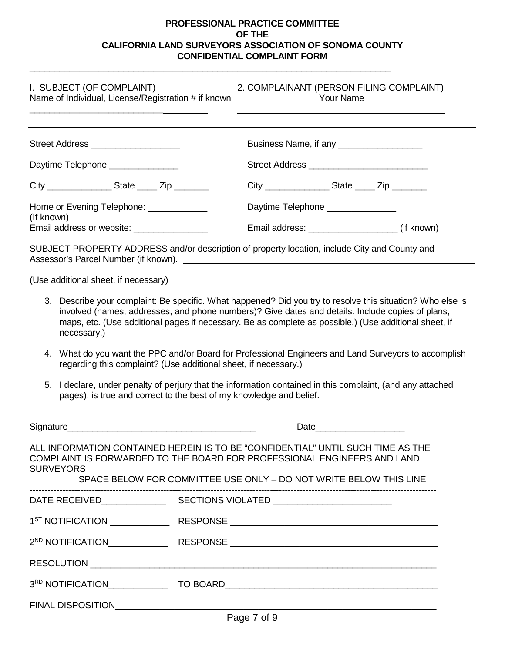## **PROFESSIONAL PRACTICE COMMITTEE OF THE CALIFORNIA LAND SURVEYORS ASSOCIATION OF SONOMA COUNTY CONFIDENTIAL COMPLAINT FORM**

\_\_\_\_\_\_\_\_\_\_\_\_\_\_\_\_\_\_\_\_\_\_\_\_\_\_\_\_\_\_\_\_\_\_\_\_\_\_\_\_\_\_\_\_\_\_\_\_\_\_\_\_\_\_\_\_\_\_\_\_\_\_\_\_\_\_\_\_\_\_\_\_\_

| I. SUBJECT (OF COMPLAINT)<br>2. COMPLAINANT (PERSON FILING COMPLAINT)<br><b>Your Name</b><br>Name of Individual, License/Registration # if known |                                                                                                                                                                                                                                                                                                                                                                                                                                                                    |
|--------------------------------------------------------------------------------------------------------------------------------------------------|--------------------------------------------------------------------------------------------------------------------------------------------------------------------------------------------------------------------------------------------------------------------------------------------------------------------------------------------------------------------------------------------------------------------------------------------------------------------|
| Street Address ____________________                                                                                                              | Business Name, if any _____________________                                                                                                                                                                                                                                                                                                                                                                                                                        |
| Daytime Telephone ______________                                                                                                                 |                                                                                                                                                                                                                                                                                                                                                                                                                                                                    |
| City _____________________State _______ Zip __________                                                                                           | City __________________State ______ Zip ________                                                                                                                                                                                                                                                                                                                                                                                                                   |
| Home or Evening Telephone: _____________<br>(If known)                                                                                           | Daytime Telephone _______________                                                                                                                                                                                                                                                                                                                                                                                                                                  |
| Email address or website: _________________                                                                                                      | SUBJECT PROPERTY ADDRESS and/or description of property location, include City and County and                                                                                                                                                                                                                                                                                                                                                                      |
| necessary.)<br>5.                                                                                                                                | maps, etc. (Use additional pages if necessary. Be as complete as possible.) (Use additional sheet, if<br>4. What do you want the PPC and/or Board for Professional Engineers and Land Surveyors to accomplish<br>regarding this complaint? (Use additional sheet, if necessary.)<br>I declare, under penalty of perjury that the information contained in this complaint, (and any attached<br>pages), is true and correct to the best of my knowledge and belief. |
|                                                                                                                                                  |                                                                                                                                                                                                                                                                                                                                                                                                                                                                    |
| <b>SURVEYORS</b>                                                                                                                                 | ALL INFORMATION CONTAINED HEREIN IS TO BE "CONFIDENTIAL" UNTIL SUCH TIME AS THE<br>COMPLAINT IS FORWARDED TO THE BOARD FOR PROFESSIONAL ENGINEERS AND LAND<br>SPACE BELOW FOR COMMITTEE USE ONLY - DO NOT WRITE BELOW THIS LINE                                                                                                                                                                                                                                    |
|                                                                                                                                                  |                                                                                                                                                                                                                                                                                                                                                                                                                                                                    |
|                                                                                                                                                  |                                                                                                                                                                                                                                                                                                                                                                                                                                                                    |
|                                                                                                                                                  |                                                                                                                                                                                                                                                                                                                                                                                                                                                                    |
|                                                                                                                                                  |                                                                                                                                                                                                                                                                                                                                                                                                                                                                    |
|                                                                                                                                                  |                                                                                                                                                                                                                                                                                                                                                                                                                                                                    |
|                                                                                                                                                  |                                                                                                                                                                                                                                                                                                                                                                                                                                                                    |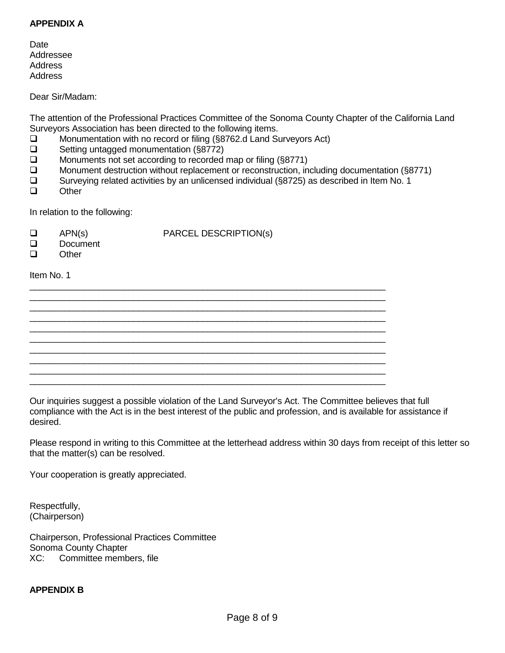#### **APPENDIX A**

**Date** Addressee Address Address

Dear Sir/Madam:

The attention of the Professional Practices Committee of the Sonoma County Chapter of the California Land Surveyors Association has been directed to the following items.

□ Monumentation with no record or filing (§8762.d Land Surveyors Act)<br>□ Setting untagged monumentation (§8772)

- **□** Setting untagged monumentation (§8772)<br>□ Monuments not set according to recorded
- Monuments not set according to recorded map or filing (§8771)
- **Monument destruction without replacement or reconstruction, including documentation (§8771)**
- $\Box$  Surveying related activities by an unlicensed individual (§8725) as described in Item No. 1<br>
Other

 $\_$  , and the set of the set of the set of the set of the set of the set of the set of the set of the set of the set of the set of the set of the set of the set of the set of the set of the set of the set of the set of th  $\_$  , and the set of the set of the set of the set of the set of the set of the set of the set of the set of the set of the set of the set of the set of the set of the set of the set of the set of the set of the set of th  $\_$  , and the set of the set of the set of the set of the set of the set of the set of the set of the set of the set of the set of the set of the set of the set of the set of the set of the set of the set of the set of th  $\_$  , and the set of the set of the set of the set of the set of the set of the set of the set of the set of the set of the set of the set of the set of the set of the set of the set of the set of the set of the set of th  $\_$  , and the set of the set of the set of the set of the set of the set of the set of the set of the set of the set of the set of the set of the set of the set of the set of the set of the set of the set of the set of th  $\_$  , and the set of the set of the set of the set of the set of the set of the set of the set of the set of the set of the set of the set of the set of the set of the set of the set of the set of the set of the set of th \_\_\_\_\_\_\_\_\_\_\_\_\_\_\_\_\_\_\_\_\_\_\_\_\_\_\_\_\_\_\_\_\_\_\_\_\_\_\_\_\_\_\_\_\_\_\_\_\_\_\_\_\_\_\_\_\_\_\_\_\_\_\_\_\_\_\_\_\_\_\_\_ \_\_\_\_\_\_\_\_\_\_\_\_\_\_\_\_\_\_\_\_\_\_\_\_\_\_\_\_\_\_\_\_\_\_\_\_\_\_\_\_\_\_\_\_\_\_\_\_\_\_\_\_\_\_\_\_\_\_\_\_\_\_\_\_\_\_\_\_\_\_\_\_ \_\_\_\_\_\_\_\_\_\_\_\_\_\_\_\_\_\_\_\_\_\_\_\_\_\_\_\_\_\_\_\_\_\_\_\_\_\_\_\_\_\_\_\_\_\_\_\_\_\_\_\_\_\_\_\_\_\_\_\_\_\_\_\_\_\_\_\_\_\_\_\_ \_\_\_\_\_\_\_\_\_\_\_\_\_\_\_\_\_\_\_\_\_\_\_\_\_\_\_\_\_\_\_\_\_\_\_\_\_\_\_\_\_\_\_\_\_\_\_\_\_\_\_\_\_\_\_\_\_\_\_\_\_\_\_\_\_\_\_\_\_\_\_\_

**Other** 

In relation to the following:

- $\Box$  APN(s) PARCEL DESCRIPTION(s)
- □ Document<br>□ Other
- **Other**

Item No. 1

Our inquiries suggest a possible violation of the Land Surveyor's Act. The Committee believes that full compliance with the Act is in the best interest of the public and profession, and is available for assistance if desired.

Please respond in writing to this Committee at the letterhead address within 30 days from receipt of this letter so that the matter(s) can be resolved.

Your cooperation is greatly appreciated.

Respectfully, (Chairperson)

Chairperson, Professional Practices Committee Sonoma County Chapter XC: Committee members, file

## **APPENDIX B**